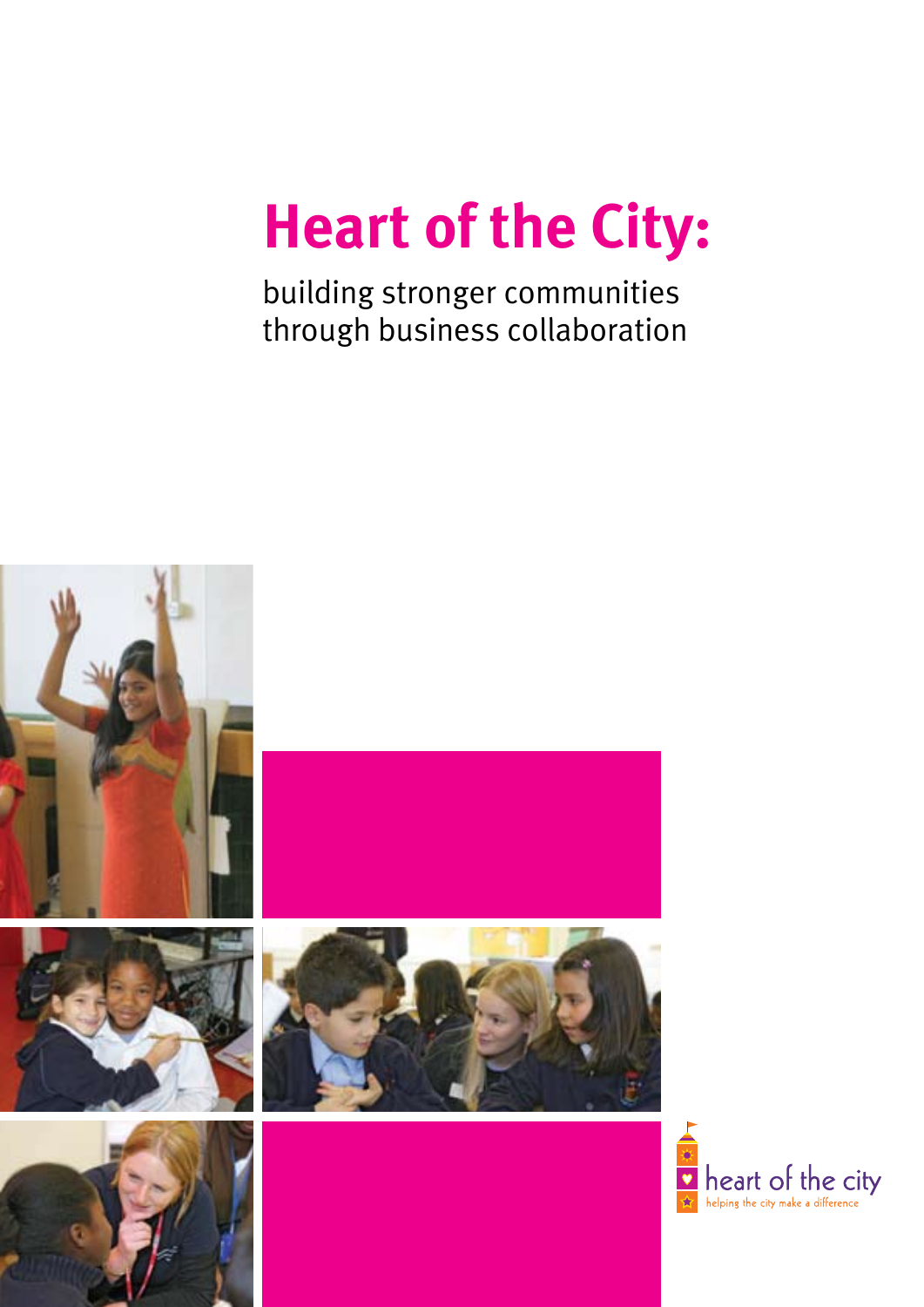# **Heart of the City:**

building stronger communities through business collaboration



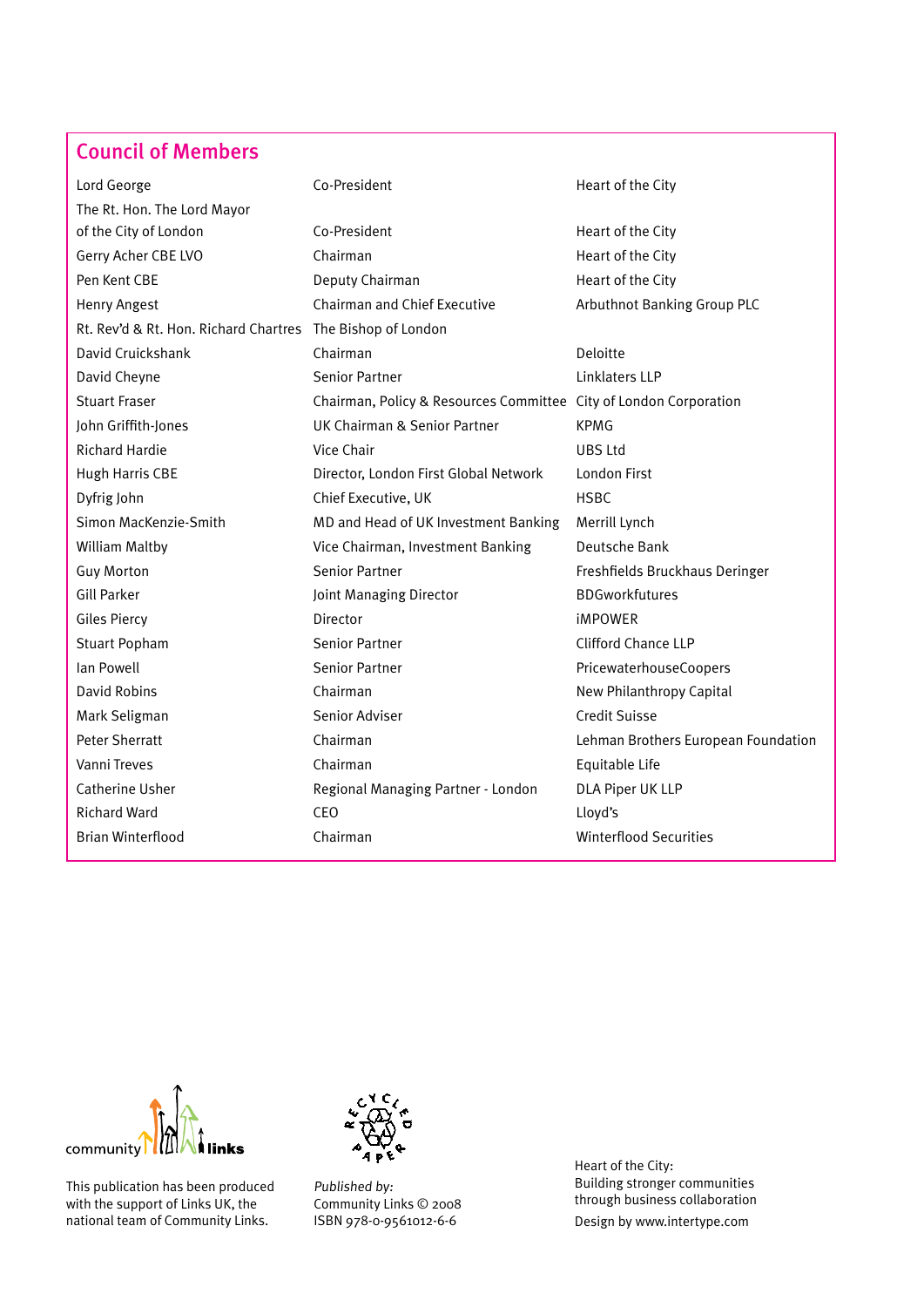## Council of Members

| Lord George                                                | Co-President                                                      | Heart of the City                   |
|------------------------------------------------------------|-------------------------------------------------------------------|-------------------------------------|
| The Rt. Hon. The Lord Mayor                                |                                                                   |                                     |
| of the City of London                                      | Co-President                                                      | Heart of the City                   |
| Gerry Acher CBE LVO                                        | Chairman                                                          | Heart of the City                   |
| Pen Kent CBE                                               | Deputy Chairman                                                   | Heart of the City                   |
| <b>Henry Angest</b>                                        | <b>Chairman and Chief Executive</b>                               | Arbuthnot Banking Group PLC         |
| Rt. Rev'd & Rt. Hon. Richard Chartres The Bishop of London |                                                                   |                                     |
| David Cruickshank                                          | Chairman                                                          | Deloitte                            |
| David Cheyne                                               | <b>Senior Partner</b>                                             | Linklaters LLP                      |
| <b>Stuart Fraser</b>                                       | Chairman, Policy & Resources Committee City of London Corporation |                                     |
| John Griffith-Jones                                        | <b>UK Chairman &amp; Senior Partner</b>                           | <b>KPMG</b>                         |
| <b>Richard Hardie</b>                                      | Vice Chair                                                        | UBS Ltd                             |
| Hugh Harris CBE                                            | Director, London First Global Network                             | London First                        |
| Dyfrig John                                                | Chief Executive, UK                                               | <b>HSBC</b>                         |
| Simon MacKenzie-Smith                                      | MD and Head of UK Investment Banking                              | Merrill Lynch                       |
| <b>William Maltby</b>                                      | Vice Chairman, Investment Banking                                 | Deutsche Bank                       |
| <b>Guy Morton</b>                                          | <b>Senior Partner</b>                                             | Freshfields Bruckhaus Deringer      |
| <b>Gill Parker</b>                                         | Joint Managing Director                                           | <b>BDGworkfutures</b>               |
| Giles Piercy                                               | <b>Director</b>                                                   | <b>iMPOWER</b>                      |
| <b>Stuart Popham</b>                                       | <b>Senior Partner</b>                                             | <b>Clifford Chance LLP</b>          |
| Ian Powell                                                 | <b>Senior Partner</b>                                             | PricewaterhouseCoopers              |
| <b>David Robins</b>                                        | Chairman                                                          | New Philanthropy Capital            |
| Mark Seligman                                              | Senior Adviser                                                    | <b>Credit Suisse</b>                |
| <b>Peter Sherratt</b>                                      | Chairman                                                          | Lehman Brothers European Foundation |
| Vanni Treves                                               | Chairman                                                          | Equitable Life                      |
| Catherine Usher                                            | Regional Managing Partner - London                                | DLA Piper UK LLP                    |
| <b>Richard Ward</b>                                        | <b>CEO</b>                                                        | Lloyd's                             |
| <b>Brian Winterflood</b>                                   | Chairman                                                          | <b>Winterflood Securities</b>       |



This publication has been produced with the support of Links UK, the national team of Community Links.



Published by: Community Links © 2008 ISBN 978-0-9561012-6-6

Heart of the City: Building stronger communities through business collaboration Design by www.intertype.com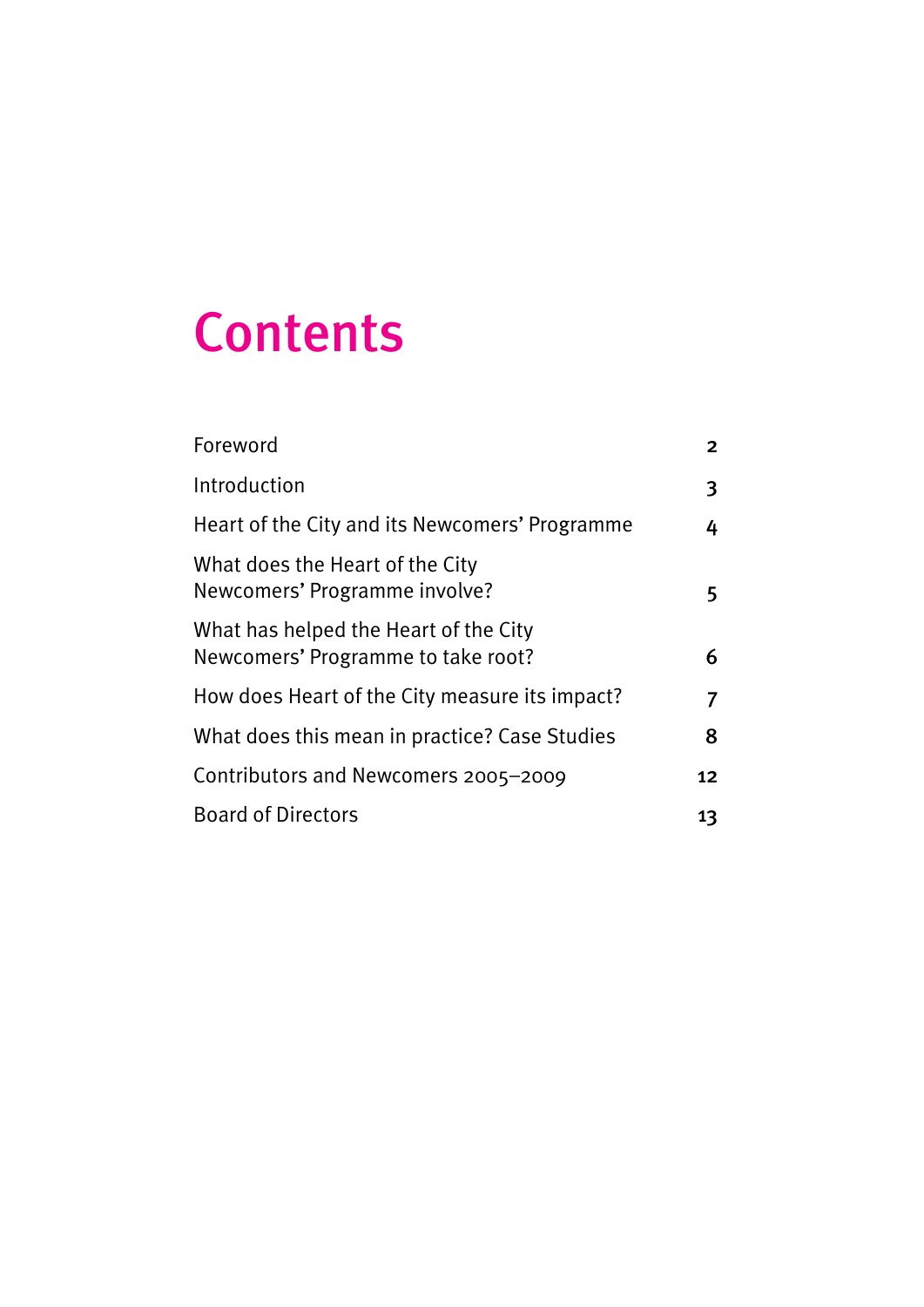## Contents

| Foreword                                                                    | 2  |
|-----------------------------------------------------------------------------|----|
| Introduction                                                                | 3  |
| Heart of the City and its Newcomers' Programme                              | 4  |
| What does the Heart of the City<br>Newcomers' Programme involve?            | 5  |
| What has helped the Heart of the City<br>Newcomers' Programme to take root? | 6  |
| How does Heart of the City measure its impact?                              |    |
| What does this mean in practice? Case Studies                               | 8  |
| Contributors and Newcomers 2005-2009                                        |    |
| <b>Board of Directors</b>                                                   | 13 |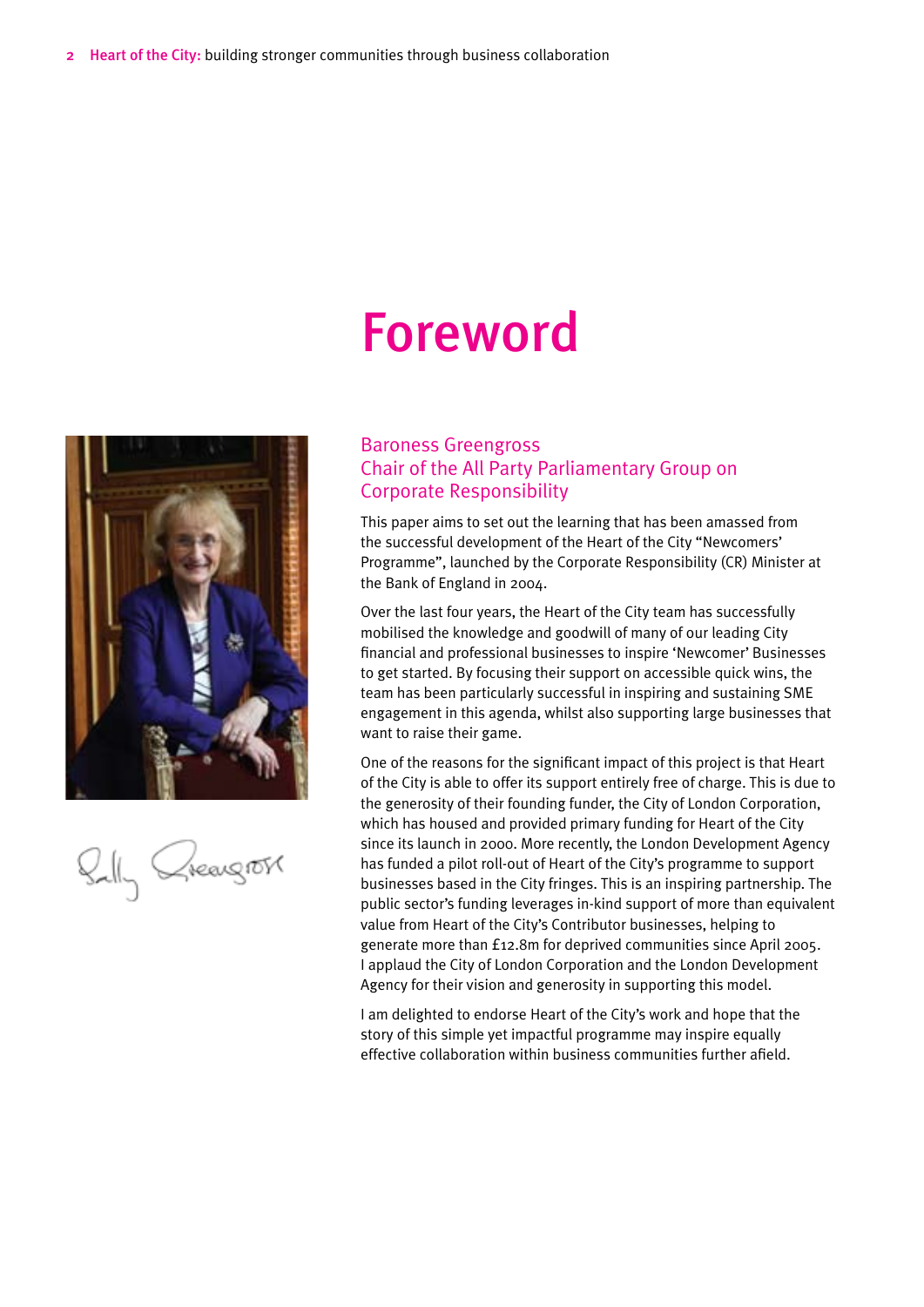## Foreword



Belly Greengross

#### Baroness Greengross Chair of the All Party Parliamentary Group on Corporate Responsibility

This paper aims to set out the learning that has been amassed from the successful development of the Heart of the City "Newcomers' Programme", launched by the Corporate Responsibility (CR) Minister at the Bank of England in 2004.

Over the last four years, the Heart of the City team has successfully mobilised the knowledge and goodwill of many of our leading City financial and professional businesses to inspire 'Newcomer' Businesses to get started. By focusing their support on accessible quick wins, the team has been particularly successful in inspiring and sustaining SME engagement in this agenda, whilst also supporting large businesses that want to raise their game.

One of the reasons for the significant impact of this project is that Heart of the City is able to offer its support entirely free of charge. This is due to the generosity of their founding funder, the City of London Corporation, which has housed and provided primary funding for Heart of the City since its launch in 2000. More recently, the London Development Agency has funded a pilot roll-out of Heart of the City's programme to support businesses based in the City fringes. This is an inspiring partnership. The public sector's funding leverages in-kind support of more than equivalent value from Heart of the City's Contributor businesses, helping to generate more than £12.8m for deprived communities since April 2005. I applaud the City of London Corporation and the London Development Agency for their vision and generosity in supporting this model.

I am delighted to endorse Heart of the City's work and hope that the story of this simple yet impactful programme may inspire equally effective collaboration within business communities further afield.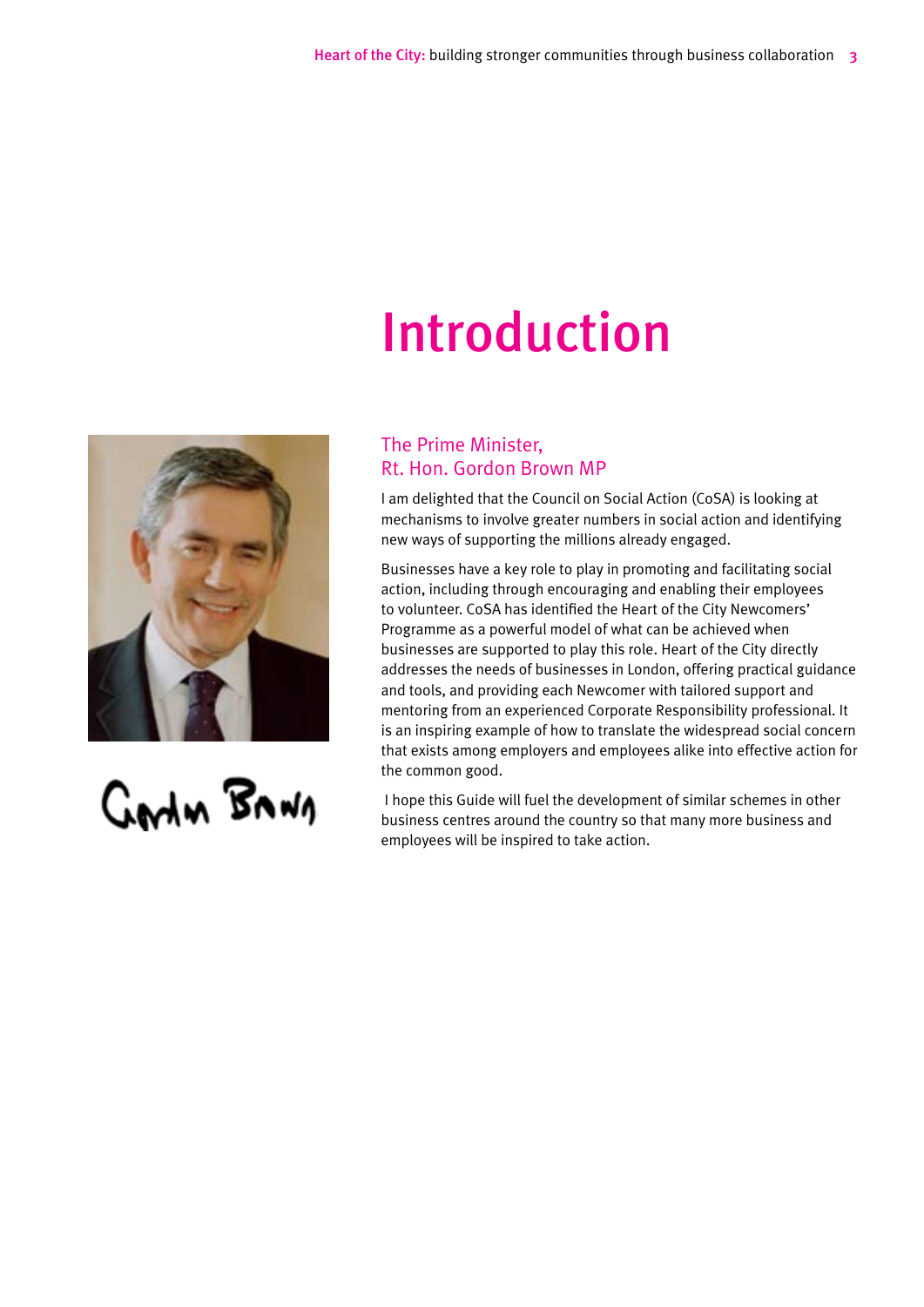## Introduction



GALAN BANA

### The Prime Minister, Rt. Hon. Gordon Brown MP

I am delighted that the Council on Social Action (CoSA) is looking at mechanisms to involve greater numbers in social action and identifying new ways of supporting the millions already engaged.

Businesses have a key role to play in promoting and facilitating social action, including through encouraging and enabling their employees to volunteer. CoSA has identified the Heart of the City Newcomers' Programme as a powerful model of what can be achieved when businesses are supported to play this role. Heart of the City directly addresses the needs of businesses in London, offering practical guidance and tools, and providing each Newcomer with tailored support and mentoring from an experienced Corporate Responsibility professional. It is an inspiring example of how to translate the widespread social concern that exists among employers and employees alike into effective action for the common good.

 I hope this Guide will fuel the development of similar schemes in other business centres around the country so that many more business and employees will be inspired to take action.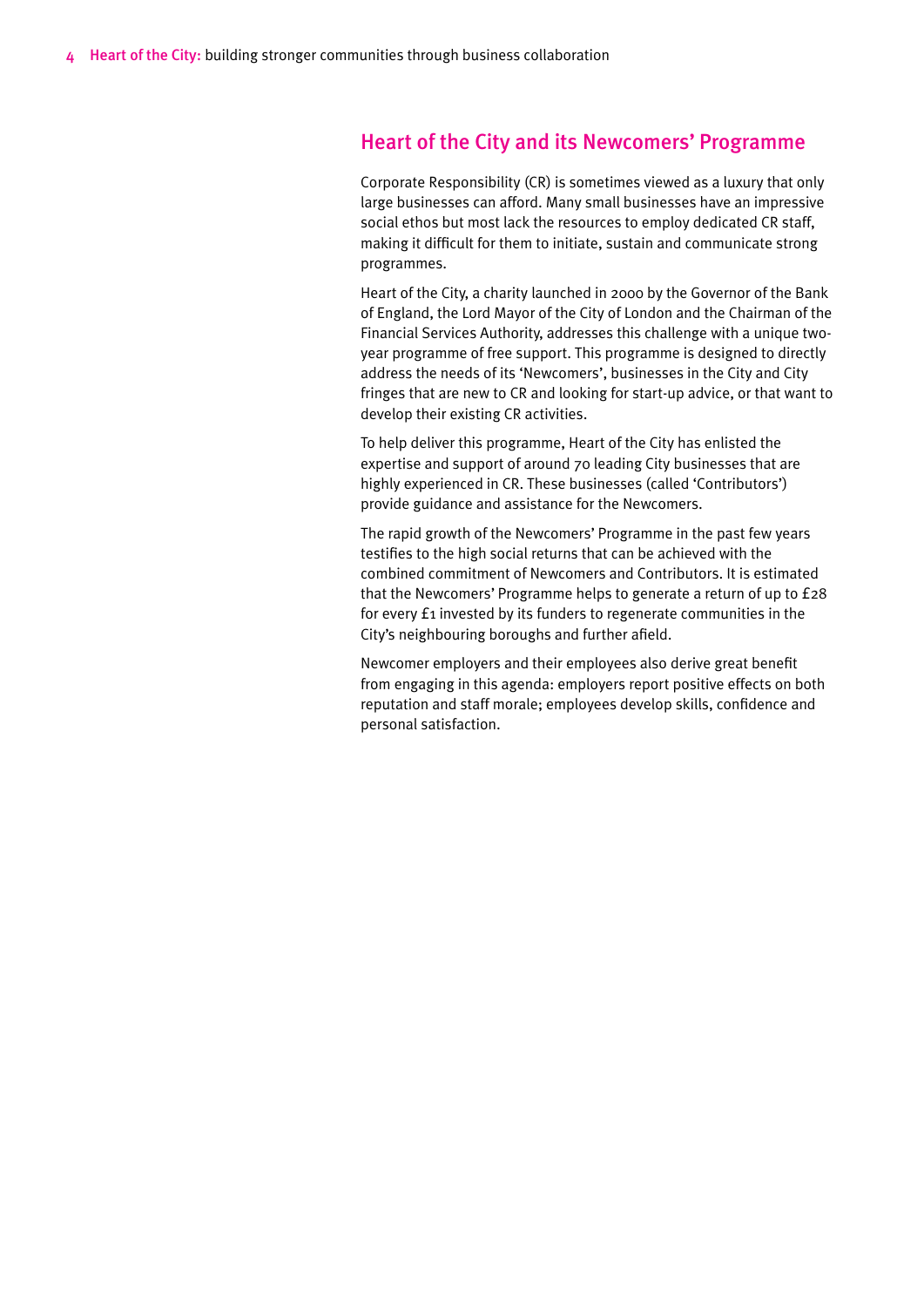#### Heart of the City and its Newcomers' Programme

Corporate Responsibility (CR) is sometimes viewed as a luxury that only large businesses can afford. Many small businesses have an impressive social ethos but most lack the resources to employ dedicated CR staff, making it difficult for them to initiate, sustain and communicate strong programmes.

Heart of the City, a charity launched in 2000 by the Governor of the Bank of England, the Lord Mayor of the City of London and the Chairman of the Financial Services Authority, addresses this challenge with a unique twoyear programme of free support. This programme is designed to directly address the needs of its 'Newcomers', businesses in the City and City fringes that are new to CR and looking for start-up advice, or that want to develop their existing CR activities.

To help deliver this programme, Heart of the City has enlisted the expertise and support of around 70 leading City businesses that are highly experienced in CR. These businesses (called 'Contributors') provide guidance and assistance for the Newcomers.

The rapid growth of the Newcomers' Programme in the past few years testifies to the high social returns that can be achieved with the combined commitment of Newcomers and Contributors. It is estimated that the Newcomers' Programme helps to generate a return of up to £28 for every £1 invested by its funders to regenerate communities in the City's neighbouring boroughs and further afield.

Newcomer employers and their employees also derive great benefit from engaging in this agenda: employers report positive effects on both reputation and staff morale; employees develop skills, confidence and personal satisfaction.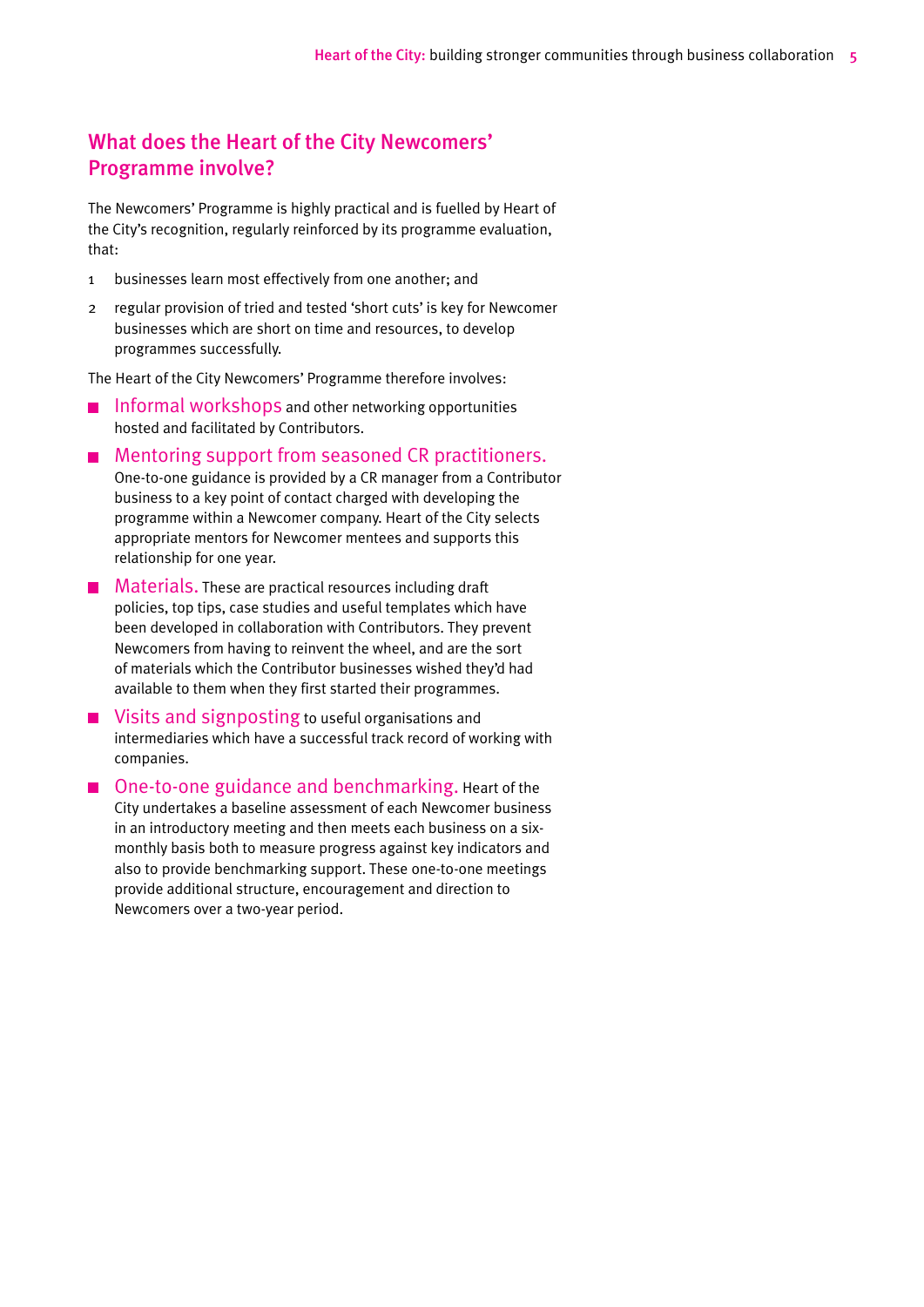## What does the Heart of the City Newcomers' Programme involve?

The Newcomers' Programme is highly practical and is fuelled by Heart of the City's recognition, regularly reinforced by its programme evaluation, that:

- 1 businesses learn most effectively from one another; and
- 2 regular provision of tried and tested 'short cuts' is key for Newcomer businesses which are short on time and resources, to develop programmes successfully.

The Heart of the City Newcomers' Programme therefore involves:

- **Informal workshops and other networking opportunities** hosted and facilitated by Contributors.
- Mentoring support from seasoned CR practitioners. One-to-one guidance is provided by a CR manager from a Contributor business to a key point of contact charged with developing the programme within a Newcomer company. Heart of the City selects appropriate mentors for Newcomer mentees and supports this relationship for one year.
- $\blacksquare$  Materials. These are practical resources including draft policies, top tips, case studies and useful templates which have been developed in collaboration with Contributors. They prevent Newcomers from having to reinvent the wheel, and are the sort of materials which the Contributor businesses wished they'd had available to them when they first started their programmes.
- Visits and signposting to useful organisations and intermediaries which have a successful track record of working with companies.
- One-to-one guidance and benchmarking. Heart of the City undertakes a baseline assessment of each Newcomer business in an introductory meeting and then meets each business on a sixmonthly basis both to measure progress against key indicators and also to provide benchmarking support. These one-to-one meetings provide additional structure, encouragement and direction to Newcomers over a two-year period.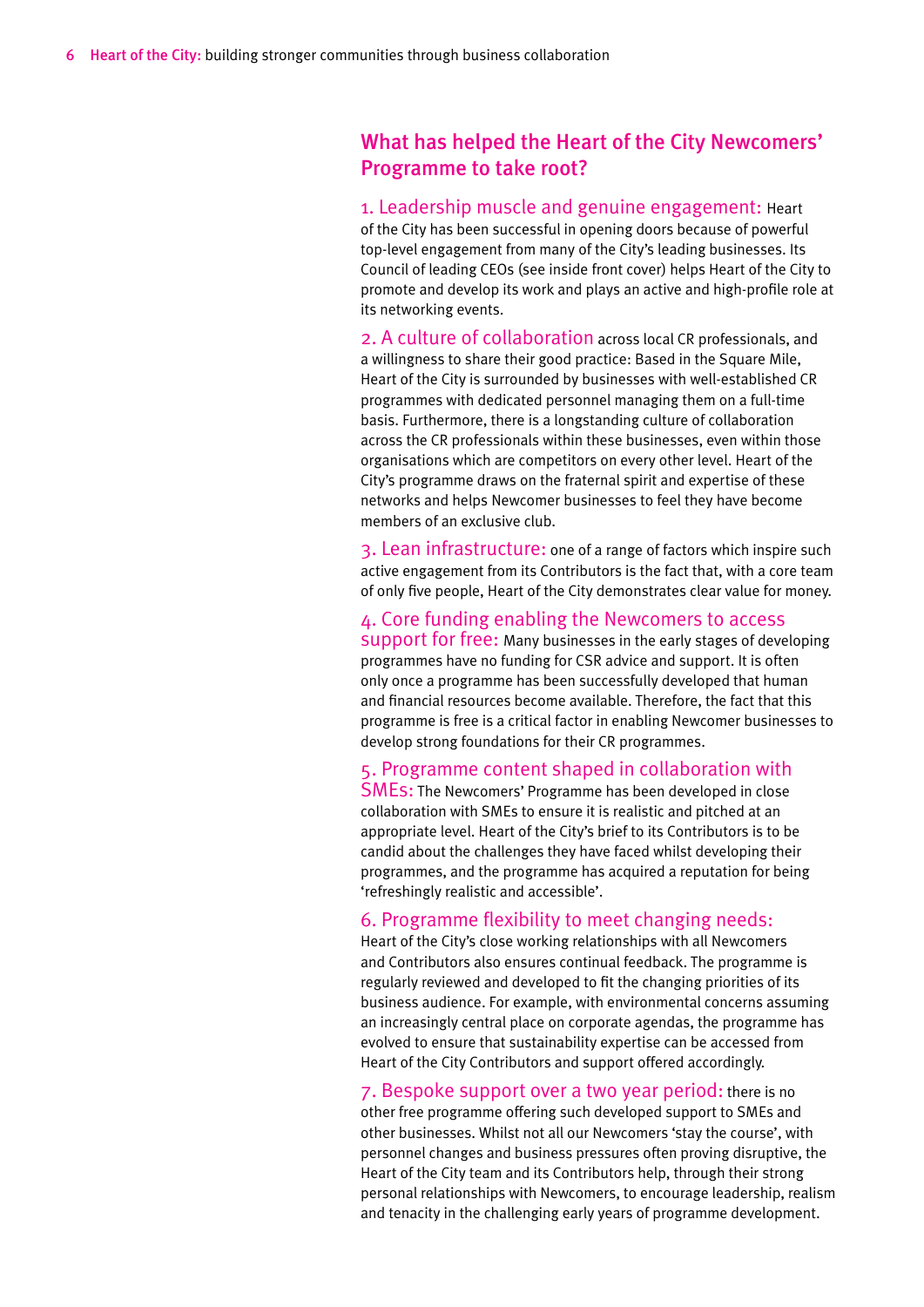### What has helped the Heart of the City Newcomers' Programme to take root?

1. Leadership muscle and genuine engagement: Heart of the City has been successful in opening doors because of powerful top-level engagement from many of the City's leading businesses. Its Council of leading CEOs (see inside front cover) helps Heart of the City to promote and develop its work and plays an active and high-profile role at its networking events.

2. A culture of collaboration across local CR professionals, and a willingness to share their good practice: Based in the Square Mile, Heart of the City is surrounded by businesses with well-established CR programmes with dedicated personnel managing them on a full-time basis. Furthermore, there is a longstanding culture of collaboration across the CR professionals within these businesses, even within those organisations which are competitors on every other level. Heart of the City's programme draws on the fraternal spirit and expertise of these networks and helps Newcomer businesses to feel they have become members of an exclusive club.

3. Lean infrastructure: one of a range of factors which inspire such active engagement from its Contributors is the fact that, with a core team of only five people, Heart of the City demonstrates clear value for money.

#### 4. Core funding enabling the Newcomers to access

support for free: Many businesses in the early stages of developing programmes have no funding for CSR advice and support. It is often only once a programme has been successfully developed that human and financial resources become available. Therefore, the fact that this programme is free is a critical factor in enabling Newcomer businesses to develop strong foundations for their CR programmes.

#### 5. Programme content shaped in collaboration with

SMEs: The Newcomers' Programme has been developed in close collaboration with SMEs to ensure it is realistic and pitched at an appropriate level. Heart of the City's brief to its Contributors is to be candid about the challenges they have faced whilst developing their programmes, and the programme has acquired a reputation for being 'refreshingly realistic and accessible'.

#### 6. Programme flexibility to meet changing needs:

Heart of the City's close working relationships with all Newcomers and Contributors also ensures continual feedback. The programme is regularly reviewed and developed to fit the changing priorities of its business audience. For example, with environmental concerns assuming an increasingly central place on corporate agendas, the programme has evolved to ensure that sustainability expertise can be accessed from Heart of the City Contributors and support offered accordingly.

#### 7. Bespoke support over a two year period: there is no

other free programme offering such developed support to SMEs and other businesses. Whilst not all our Newcomers 'stay the course', with personnel changes and business pressures often proving disruptive, the Heart of the City team and its Contributors help, through their strong personal relationships with Newcomers, to encourage leadership, realism and tenacity in the challenging early years of programme development.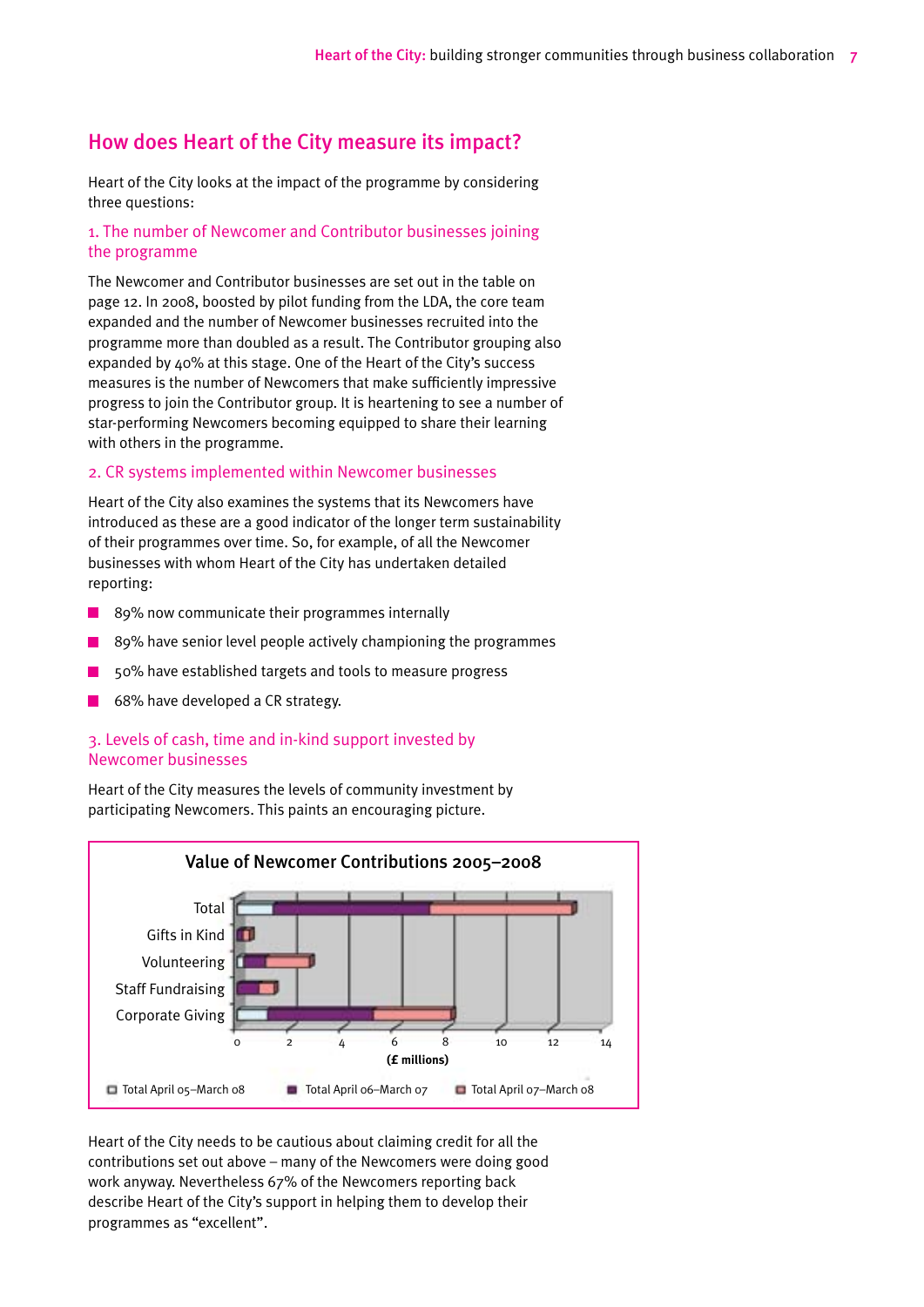## How does Heart of the City measure its impact?

Heart of the City looks at the impact of the programme by considering three questions:

#### 1. The number of Newcomer and Contributor businesses joining the programme

The Newcomer and Contributor businesses are set out in the table on page 12. In 2008, boosted by pilot funding from the LDA, the core team expanded and the number of Newcomer businesses recruited into the programme more than doubled as a result. The Contributor grouping also expanded by 40% at this stage. One of the Heart of the City's success measures is the number of Newcomers that make sufficiently impressive progress to join the Contributor group. It is heartening to see a number of star-performing Newcomers becoming equipped to share their learning with others in the programme.

#### 2. CR systems implemented within Newcomer businesses

Heart of the City also examines the systems that its Newcomers have introduced as these are a good indicator of the longer term sustainability of their programmes over time. So, for example, of all the Newcomer businesses with whom Heart of the City has undertaken detailed reporting:

- $\blacksquare$  89% now communicate their programmes internally
- 89% have senior level people actively championing the programmes
- 50% have established targets and tools to measure progress
- 68% have developed a CR strategy.

#### 3. Levels of cash, time and in-kind support invested by Newcomer businesses

Heart of the City measures the levels of community investment by participating Newcomers. This paints an encouraging picture.



Heart of the City needs to be cautious about claiming credit for all the contributions set out above – many of the Newcomers were doing good work anyway. Nevertheless 67% of the Newcomers reporting back describe Heart of the City's support in helping them to develop their programmes as "excellent".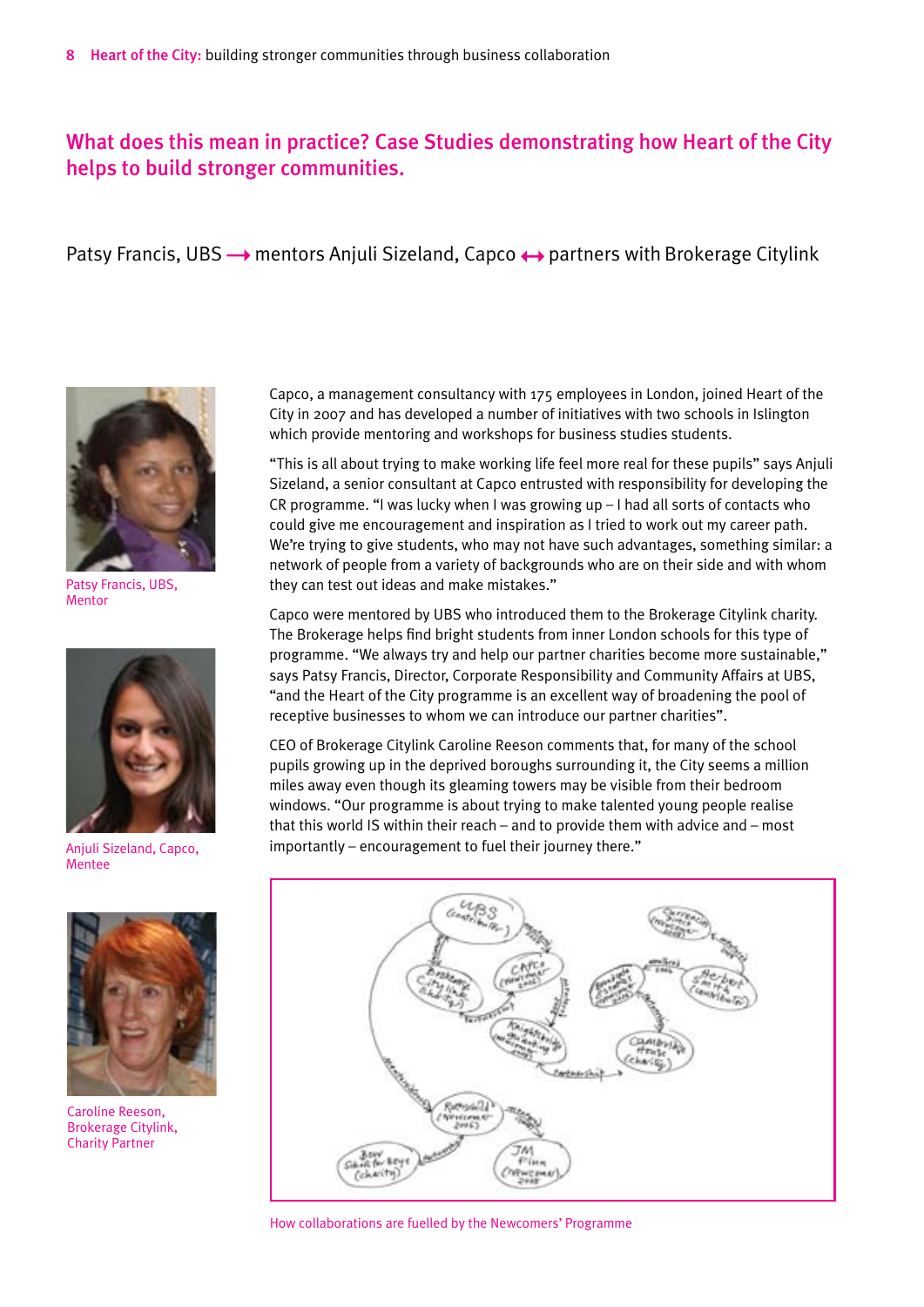## What does this mean in practice? Case Studies demonstrating how Heart of the City helps to build stronger communities.

Patsy Francis, UBS  $\rightarrow$  mentors Anjuli Sizeland, Capco  $\leftrightarrow$  partners with Brokerage Citylink



Patsy Francis, UBS, Mentor



Anjuli Sizeland, Capco, Mentee



Caroline Reeson, Brokerage Citylink, Charity Partner

Capco, a management consultancy with 175 employees in London, joined Heart of the City in 2007 and has developed a number of initiatives with two schools in Islington which provide mentoring and workshops for business studies students.

"This is all about trying to make working life feel more real for these pupils" says Anjuli Sizeland, a senior consultant at Capco entrusted with responsibility for developing the CR programme. "I was lucky when I was growing up – I had all sorts of contacts who could give me encouragement and inspiration as I tried to work out my career path. We're trying to give students, who may not have such advantages, something similar: a network of people from a variety of backgrounds who are on their side and with whom they can test out ideas and make mistakes."

Capco were mentored by UBS who introduced them to the Brokerage Citylink charity. The Brokerage helps find bright students from inner London schools for this type of programme. "We always try and help our partner charities become more sustainable," says Patsy Francis, Director, Corporate Responsibility and Community Affairs at UBS, "and the Heart of the City programme is an excellent way of broadening the pool of receptive businesses to whom we can introduce our partner charities".

CEO of Brokerage Citylink Caroline Reeson comments that, for many of the school pupils growing up in the deprived boroughs surrounding it, the City seems a million miles away even though its gleaming towers may be visible from their bedroom windows. "Our programme is about trying to make talented young people realise that this world IS within their reach – and to provide them with advice and – most importantly – encouragement to fuel their journey there."



How collaborations are fuelled by the Newcomers' Programme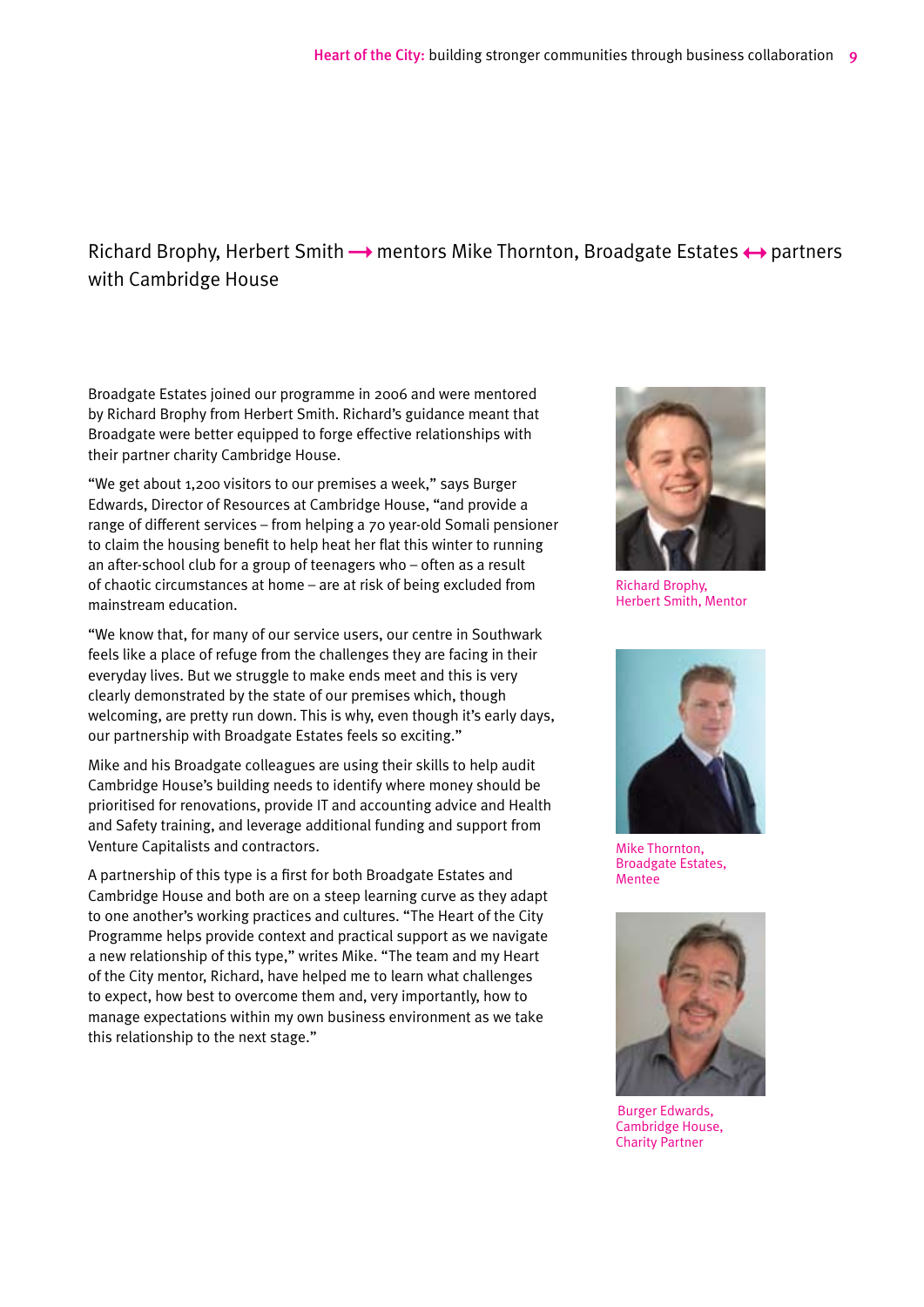## Richard Brophy, Herbert Smith  $\rightarrow$  mentors Mike Thornton, Broadgate Estates  $\leftrightarrow$  partners with Cambridge House

Broadgate Estates joined our programme in 2006 and were mentored by Richard Brophy from Herbert Smith. Richard's guidance meant that Broadgate were better equipped to forge effective relationships with their partner charity Cambridge House.

"We get about 1,200 visitors to our premises a week," says Burger Edwards, Director of Resources at Cambridge House, "and provide a range of different services – from helping a 70 year-old Somali pensioner to claim the housing benefit to help heat her flat this winter to running an after-school club for a group of teenagers who – often as a result of chaotic circumstances at home – are at risk of being excluded from mainstream education.

"We know that, for many of our service users, our centre in Southwark feels like a place of refuge from the challenges they are facing in their everyday lives. But we struggle to make ends meet and this is very clearly demonstrated by the state of our premises which, though welcoming, are pretty run down. This is why, even though it's early days, our partnership with Broadgate Estates feels so exciting."

Mike and his Broadgate colleagues are using their skills to help audit Cambridge House's building needs to identify where money should be prioritised for renovations, provide IT and accounting advice and Health and Safety training, and leverage additional funding and support from Venture Capitalists and contractors.

A partnership of this type is a first for both Broadgate Estates and Cambridge House and both are on a steep learning curve as they adapt to one another's working practices and cultures. "The Heart of the City Programme helps provide context and practical support as we navigate a new relationship of this type," writes Mike. "The team and my Heart of the City mentor, Richard, have helped me to learn what challenges to expect, how best to overcome them and, very importantly, how to manage expectations within my own business environment as we take this relationship to the next stage."



Richard Brophy, Herbert Smith, Mentor



Mike Thornton, Broadgate Estates, **Mentee** 



Burger Edwards, Cambridge House, Charity Partner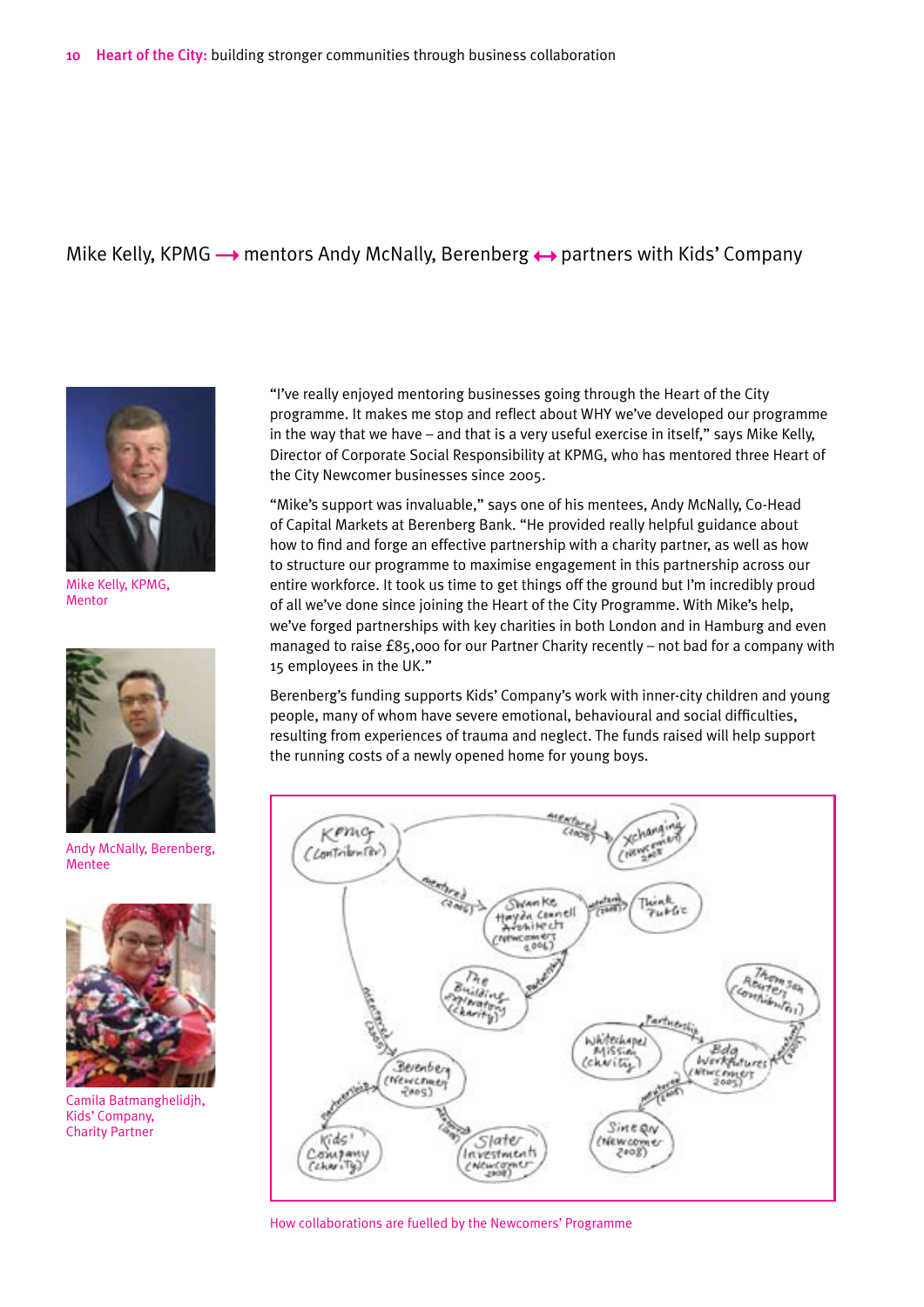#### Mike Kelly, KPMG  $\rightarrow$  mentors Andy McNally, Berenberg  $\leftrightarrow$  partners with Kids' Company



Mike Kelly, KPMG, Mentor



Andy McNally, Berenberg, Mentee



Camila Batmanghelidjh, Kids' Company, Charity Partner

"I've really enjoyed mentoring businesses going through the Heart of the City programme. It makes me stop and reflect about WHY we've developed our programme in the way that we have – and that is a very useful exercise in itself," says Mike Kelly, Director of Corporate Social Responsibility at KPMG, who has mentored three Heart of the City Newcomer businesses since 2005.

"Mike's support was invaluable," says one of his mentees, Andy McNally, Co-Head of Capital Markets at Berenberg Bank. "He provided really helpful guidance about how to find and forge an effective partnership with a charity partner, as well as how to structure our programme to maximise engagement in this partnership across our entire workforce. It took us time to get things off the ground but I'm incredibly proud of all we've done since joining the Heart of the City Programme. With Mike's help, we've forged partnerships with key charities in both London and in Hamburg and even managed to raise £85,000 for our Partner Charity recently – not bad for a company with 15 employees in the UK."

Berenberg's funding supports Kids' Company's work with inner-city children and young people, many of whom have severe emotional, behavioural and social difficulties, resulting from experiences of trauma and neglect. The funds raised will help support the running costs of a newly opened home for young boys.



How collaborations are fuelled by the Newcomers' Programme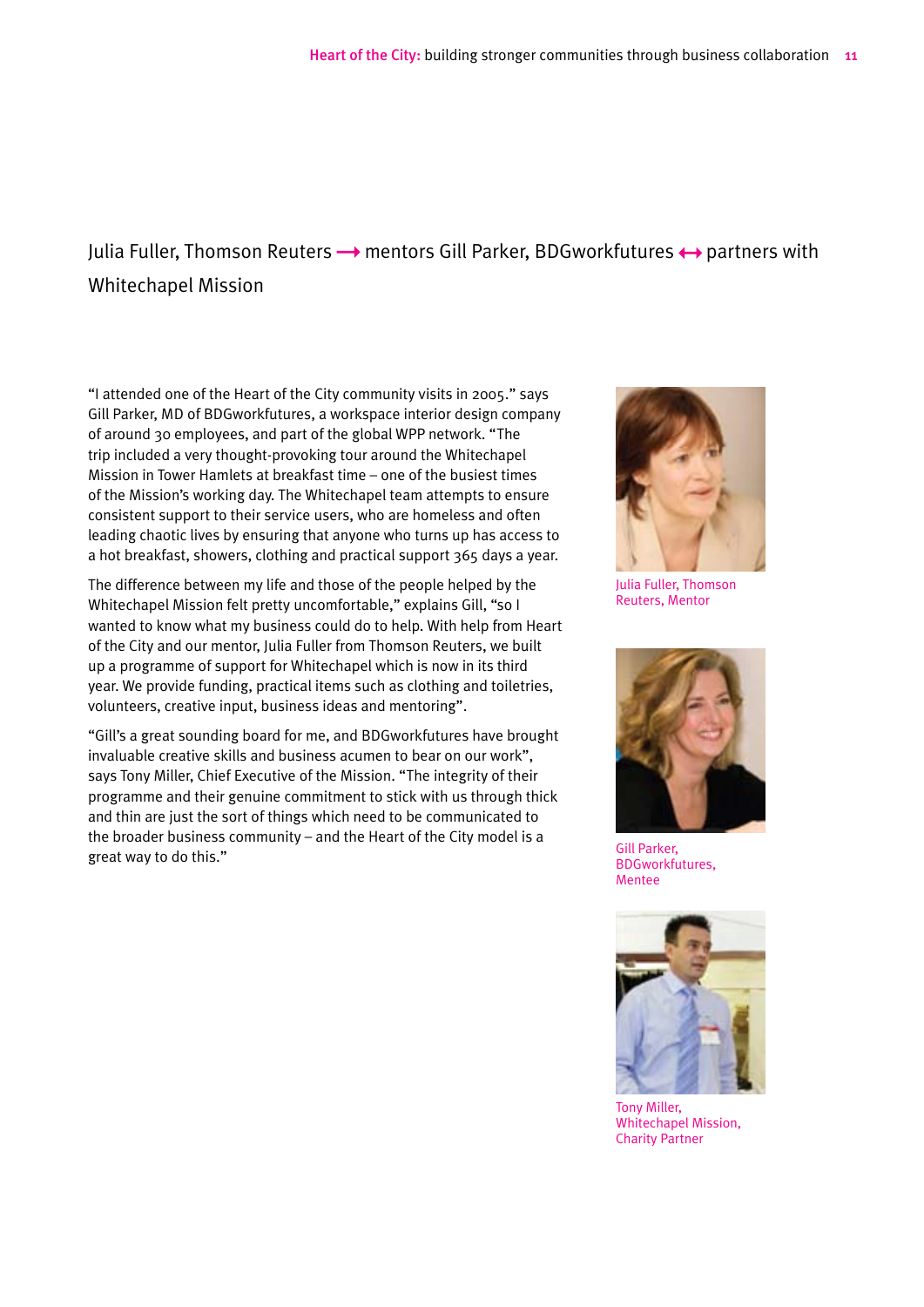## Julia Fuller, Thomson Reuters  $\rightarrow$  mentors Gill Parker, BDGworkfutures  $\leftrightarrow$  partners with Whitechapel Mission

"I attended one of the Heart of the City community visits in 2005." says Gill Parker, MD of BDGworkfutures, a workspace interior design company of around 30 employees, and part of the global WPP network. "The trip included a very thought-provoking tour around the Whitechapel Mission in Tower Hamlets at breakfast time – one of the busiest times of the Mission's working day. The Whitechapel team attempts to ensure consistent support to their service users, who are homeless and often leading chaotic lives by ensuring that anyone who turns up has access to a hot breakfast, showers, clothing and practical support 365 days a year.

The difference between my life and those of the people helped by the Whitechapel Mission felt pretty uncomfortable," explains Gill, "so I wanted to know what my business could do to help. With help from Heart of the City and our mentor, Julia Fuller from Thomson Reuters, we built up a programme of support for Whitechapel which is now in its third year. We provide funding, practical items such as clothing and toiletries, volunteers, creative input, business ideas and mentoring".

"Gill's a great sounding board for me, and BDGworkfutures have brought invaluable creative skills and business acumen to bear on our work", says Tony Miller, Chief Executive of the Mission. "The integrity of their programme and their genuine commitment to stick with us through thick and thin are just the sort of things which need to be communicated to the broader business community – and the Heart of the City model is a great way to do this."



Julia Fuller, Thomson Reuters, Mentor



Gill Parker, BDGworkfutures, Mentee



Tony Miller, Whitechapel Mission, Charity Partner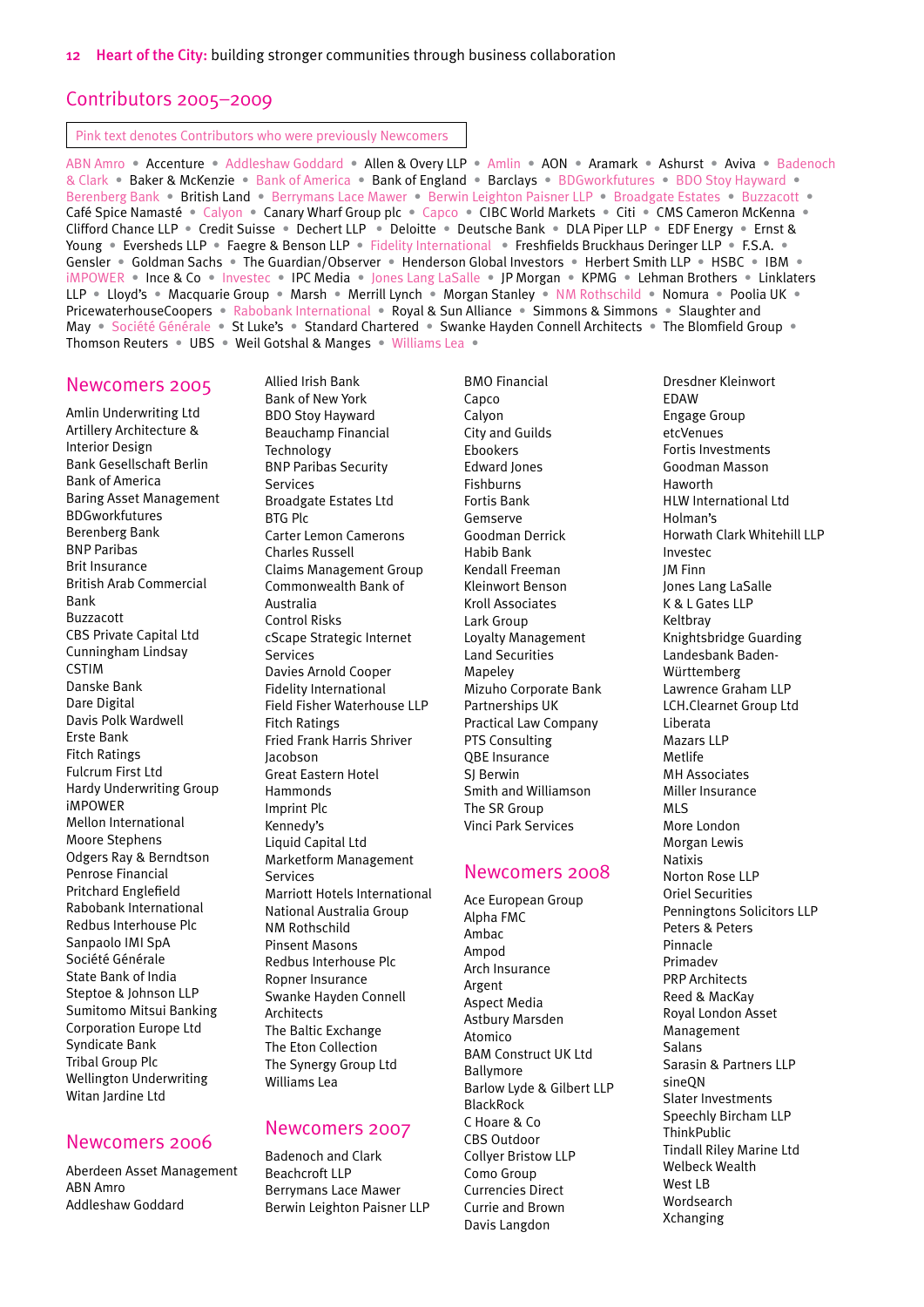#### Contributors 2005–2009

Pink text denotes Contributors who were previously Newcomers

ABN Amro • Accenture • Addleshaw Goddard • Allen & Overy LLP • Amlin • AON • Aramark • Ashurst • Aviva • Badenoch & Clark • Baker & McKenzie • Bank of America • Bank of England • Barclays • BDGworkfutures • BDO Stoy Hayward • Berenberg Bank • British Land • Berrymans Lace Mawer • Berwin Leighton Paisner LLP • Broadgate Estates • Buzzacott • Café Spice Namasté • Calyon • Canary Wharf Group plc • Capco • CIBC World Markets • Citi • CMS Cameron McKenna • Clifford Chance LLP • Credit Suisse • Dechert LLP • Deloitte • Deutsche Bank • DLA Piper LLP • EDF Energy • Ernst & Young • Eversheds LLP • Faegre & Benson LLP • Fidelity International • Freshfields Bruckhaus Deringer LLP • F.S.A. • Gensler • Goldman Sachs • The Guardian/Observer • Henderson Global Investors • Herbert Smith LLP • HSBC • IBM • iMPOWER • Ince & Co • Investec • IPC Media • Jones Lang LaSalle • JP Morgan • KPMG • Lehman Brothers • Linklaters LLP • Lloyd's • Macquarie Group • Marsh • Merrill Lynch • Morgan Stanley • NM Rothschild • Nomura • Poolia UK • PricewaterhouseCoopers • Rabobank International • Royal & Sun Alliance • Simmons & Simmons • Slaughter and May • Société Générale • St Luke's • Standard Chartered • Swanke Hayden Connell Architects • The Blomfield Group • Thomson Reuters • UBS • Weil Gotshal & Manges • Williams Lea •

#### Newcomers 2005

Amlin Underwriting Ltd Artillery Architecture & Interior Design Bank Gesellschaft Berlin Bank of America Baring Asset Management BDGworkfutures Berenberg Bank BNP Paribas Brit Insurance British Arab Commercial Bank Buzzacott CBS Private Capital Ltd Cunningham Lindsay **CSTIM** Danske Bank Dare Digital Davis Polk Wardwell Erste Bank Fitch Ratings Fulcrum First Ltd Hardy Underwriting Group iMPOWER Mellon International Moore Stephens Odgers Ray & Berndtson Penrose Financial Pritchard Englefield Rabobank International Redbus Interhouse Plc Sanpaolo IMI SpA Société Générale State Bank of India Steptoe & Johnson LLP Sumitomo Mitsui Banking Corporation Europe Ltd Syndicate Bank Tribal Group Plc Wellington Underwriting Witan Jardine Ltd

#### Newcomers 2006

Aberdeen Asset Management ABN Amro Addleshaw Goddard

Allied Irish Bank Bank of New York BDO Stoy Hayward Beauchamp Financial Technology BNP Paribas Security Services Broadgate Estates Ltd BTG Plc Carter Lemon Camerons Charles Russell Claims Management Group Commonwealth Bank of Australia Control Risks cScape Strategic Internet Services Davies Arnold Cooper Fidelity International Field Fisher Waterhouse LLP Fitch Ratings Fried Frank Harris Shriver Jacobson Great Eastern Hotel Hammonds Imprint Plc Kennedy's Liquid Capital Ltd Marketform Management Services Marriott Hotels International National Australia Group NM Rothschild Pinsent Masons Redbus Interhouse Plc Ropner Insurance Swanke Hayden Connell Architects The Baltic Exchange The Eton Collection The Synergy Group Ltd

#### Newcomers 2007

Williams Lea

Badenoch and Clark Beachcroft LLP Berrymans Lace Mawer Berwin Leighton Paisner LLP BMO Financial Capco Calyon City and Guilds Ebookers Edward Jones Fishburns Fortis Bank Gemserve Goodman Derrick Habib Bank Kendall Freeman Kleinwort Benson Kroll Associates Lark Group Loyalty Management Land Securities Mapeley Mizuho Corporate Bank Partnerships UK Practical Law Company PTS Consulting QBE Insurance SJ Berwin Smith and Williamson The SR Group Vinci Park Services

#### Newcomers 2008

Ace European Group Alpha FMC Ambac Ampod Arch Insurance Argent Aspect Media Astbury Marsden Atomico BAM Construct UK Ltd Ballymore Barlow Lyde & Gilbert LLP BlackRock C Hoare & Co CBS Outdoor Collyer Bristow LLP Como Group Currencies Direct Currie and Brown Davis Langdon

Dresdner Kleinwort **FDAW** Engage Group etcVenues Fortis Investments Goodman Masson Haworth HLW International Ltd Holman's Horwath Clark Whitehill LLP Investec JM Finn Jones Lang LaSalle K & L Gates LLP Keltbray Knightsbridge Guarding Landesbank Baden-Württemberg Lawrence Graham LLP LCH.Clearnet Group Ltd Liberata Mazars LLP Metlife MH Associates Miller Insurance MLS More London Morgan Lewis Natixis Norton Rose LLP Oriel Securities Penningtons Solicitors LLP Peters & Peters Pinnacle Primadev PRP Architects Reed & MacKay Royal London Asset Management Salans Sarasin & Partners LLP sineON Slater Investments Speechly Bircham LLP **ThinkPublic** Tindall Riley Marine Ltd Welbeck Wealth West LB Wordsearch Xchanging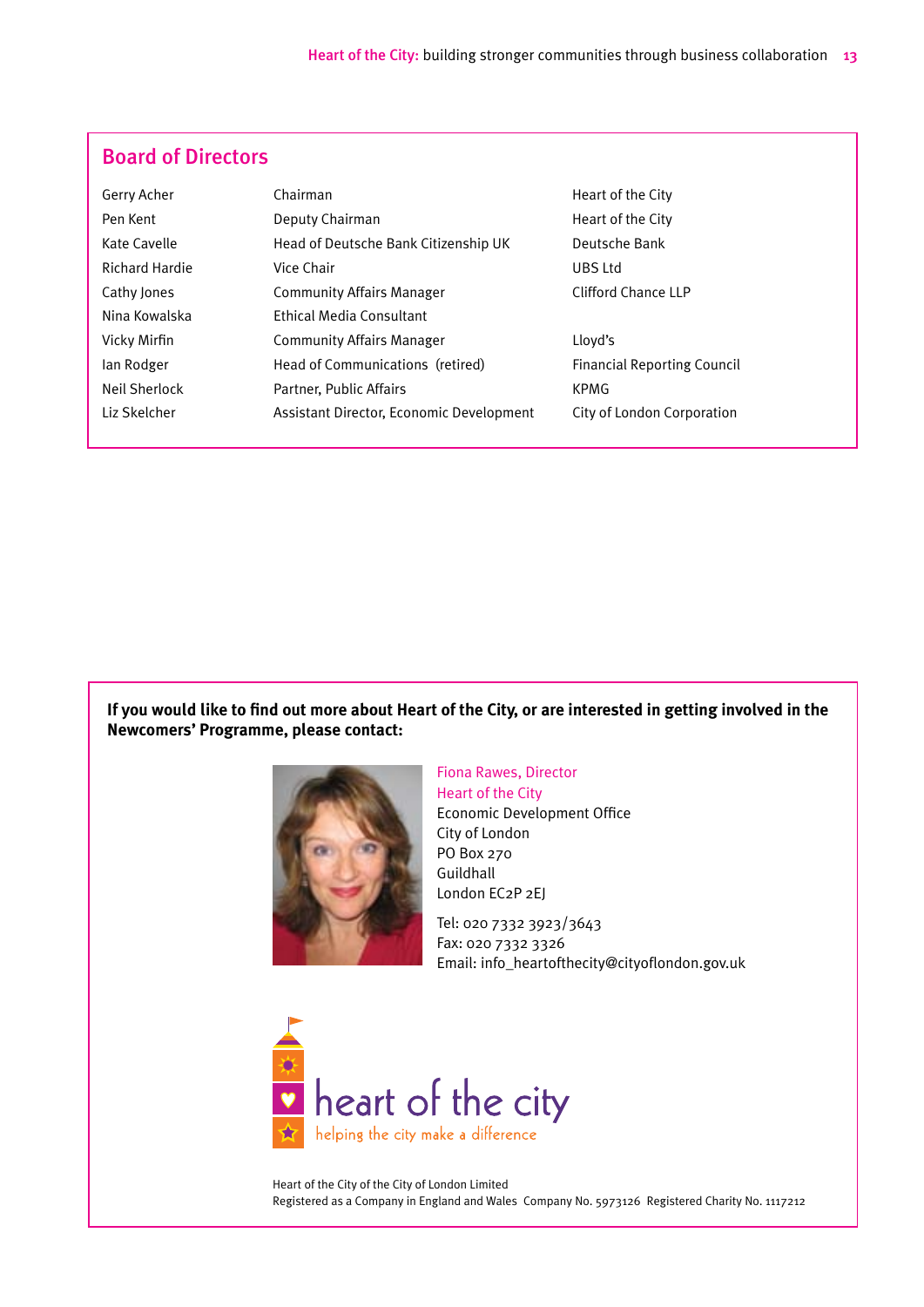## Board of Directors

| Gerry Acher           | Chairman                                 | Heart of the City                  |
|-----------------------|------------------------------------------|------------------------------------|
| Pen Kent              | Deputy Chairman                          | Heart of the City                  |
| Kate Cavelle          | Head of Deutsche Bank Citizenship UK     | Deutsche Bank                      |
| <b>Richard Hardie</b> | Vice Chair                               | UBS Ltd                            |
| Cathy Jones           | <b>Community Affairs Manager</b>         | Clifford Chance LLP                |
| Nina Kowalska         | <b>Ethical Media Consultant</b>          |                                    |
| Vicky Mirfin          | <b>Community Affairs Manager</b>         | Lloyd's                            |
| lan Rodger            | Head of Communications (retired)         | <b>Financial Reporting Council</b> |
| Neil Sherlock         | Partner, Public Affairs                  | KPMG                               |
| Liz Skelcher          | Assistant Director, Economic Development | City of London Corporation         |
|                       |                                          |                                    |

**If you would like to find out more about Heart of the City, or are interested in getting involved in the Newcomers' Programme, please contact:**



Fiona Rawes, Director Heart of the City Economic Development Office City of London PO Box 270 Guildhall London EC2P 2EJ

Tel: 020 7332 3923/3643 Fax: 020 7332 3326 Email: info\_heartofthecity@cityoflondon.gov.uk



Heart of the City of the City of London Limited Registered as a Company in England and Wales Company No. 5973126 Registered Charity No. 1117212